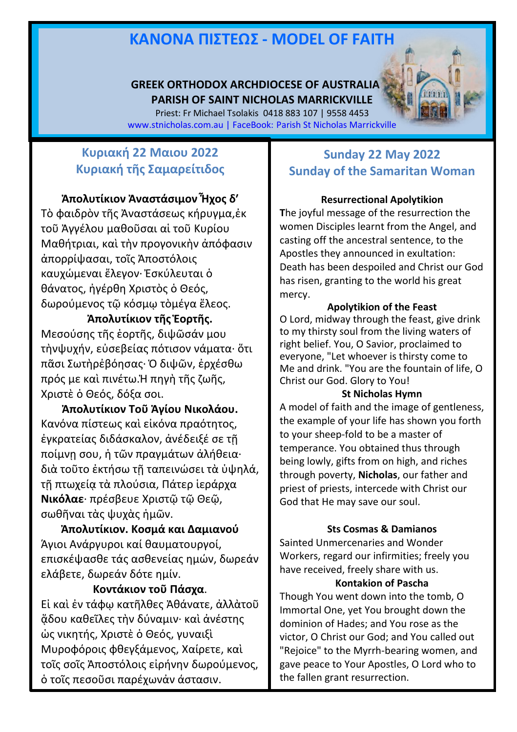# **ΚΑΝOΝΑ ΠIΣΤΕΩΣ - MODEL OF FAITH**

#### **GREEK ORTHODOX ARCHDIOCESE OF AUSTRALIA PARISH OF SAINT NICHOLAS MARRICKVILLE**

Priest: Fr Michael Tsolakis 0418 883 107 | 9558 4453 [www.stnicholas.com.au](http://www.stnicholas.com.au/) | FaceBook: Parish St Nicholas Marrickville

## **Κυριακή 22 Μαιου 2022 Κυριακή τῆς Σαμαρείτιδος**

#### **Ἀπολυτίκιον Ἀναστάσιμον Ἦχος δʹ**

Τὸ φαιδρὸν τῆς Ἀναστάσεως κήρυγμα,ἐκ τοῦ Ἀγγέλου μαθοῦσαι αἱ τοῦ Κυρίου Μαθήτριαι, καὶ τὴν προγονικὴν ἀπόφασιν ἀπορρίψασαι, τοῖς Ἀποστόλοις καυχώμεναι ἔλεγον· Ἐσκύλευται ὁ θάνατος, ἠγέρθη Χριστὸς ὁ Θεός, δωρούμενος τῷ κόσμῳ τὸμέγα ἔλεος.

#### **Ἀπολυτίκιον τῆς Ἑορτῆς.**

Μεσούσης τῆς ἑορτῆς, διψῶσάν μου τὴνψυχήν, εὐσεβείας πότισον νάματα· ὅτι πᾶσι Σωτὴρἐβόησας· Ὁ διψῶν, ἐρχέσθω πρός με καὶ πινέτω.Ἡ πηγὴ τῆς ζωῆς, Χριστὲ ὁ Θεός, δόξα σοι.

**Ἀπολυτίκιον Τοῦ Ἁγίου Νικολάου.** Κανόνα πίστεως καὶ εἰκόνα πραότητος, ἐγκρατείας διδάσκαλον, ἀνέδειξέ σε τῇ ποίμνῃ σου, ἡ τῶν πραγμάτων ἀλήθεια· διὰ τοῦτο ἐκτήσω τῇ ταπεινώσει τὰ ὑψηλά, τῇ πτωχείᾳ τὰ πλούσια, Πάτερ ἱεράρχα **Νικόλαε**· πρέσβευε Χριστῷ τῷ Θεῷ, σωθῆναι τὰς ψυχὰς ἡμῶν.

**Ἀπολυτίκιον. Κοσμά και Δαμιανού** Άγιοι Ανάργυροι καί θαυματουργοί, επισκέψασθε τάς ασθενείας ημών, δωρεάν ελάβετε, δωρεάν δότε ημίν.

#### **Κοντάκιον τοῦ Πάσχα**.

Εἰ καὶ ἐν τάφῳ κατῆλθες Ἀθάνατε, ἀλλὰτοῦ ᾅδου καθεῖλες τὴν δύναμιν· καὶ ἀνέστης ὡς νικητής, Χριστὲ ὁ Θεός, γυναιξὶ Μυροφόροις φθεγξάμενος, Χαίρετε, καὶ τοῖς σοῖς Ἀποστόλοις εἰρήνην δωρούμενος, ὁ τοῖς πεσοῦσι παρέχωνἀν άστασιν.

## **Sunday 22 May 2022 Sunday of the Samaritan Woman**

#### **Resurrectional Apolytikion**

**T**he joyful message of the resurrection the women Disciples learnt from the Angel, and casting off the ancestral sentence, to the Apostles they announced in exultation: Death has been despoiled and Christ our God has risen, granting to the world his great mercy.

#### **Apolytikion of the Feast**

O Lord, midway through the feast, give drink to my thirsty soul from the living waters of right belief. You, O Savior, proclaimed to everyone, "Let whoever is thirsty come to Me and drink. "You are the fountain of life, O Christ our God. Glory to You!

#### **St Nicholas Hymn**

A model of faith and the image of gentleness, the example of your life has shown you forth to your sheep-fold to be a master of temperance. You obtained thus through being lowly, gifts from on high, and riches through poverty, **Nicholas**, our father and priest of priests, intercede with Christ our God that He may save our soul.

#### **Sts Cosmas & Damianos**

Sainted Unmercenaries and Wonder Workers, regard our infirmities; freely you have received, freely share with us.

#### **Kontakion of Pascha**

Though You went down into the tomb, O Immortal One, yet You brought down the dominion of Hades; and You rose as the victor, O Christ our God; and You called out "Rejoice" to the Myrrh-bearing women, and gave peace to Your Apostles, O Lord who to the fallen grant resurrection.

1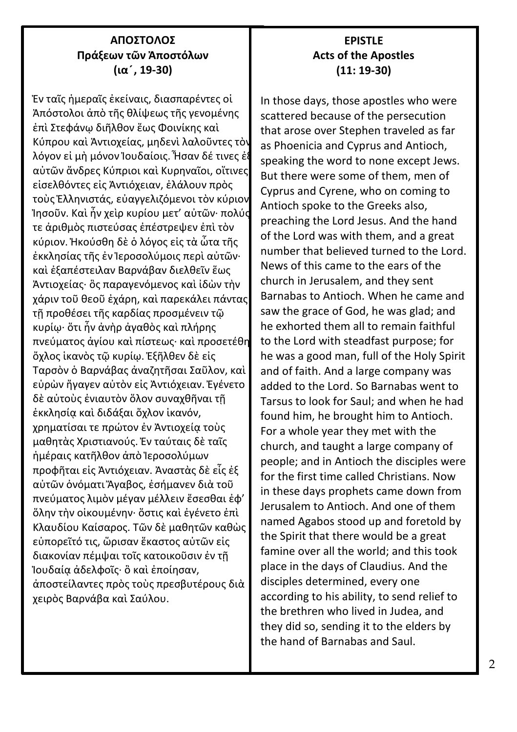### **ΑΠΟΣΤΟΛΟΣ Πράξεων τῶν Ἀποστόλων (ια ́, 19-30)**

Ἐν ταῖς ἡμεραῖς ἐκείναις, διασπαρέντες οἱ Ἀπόστολοι ἀπὸ τῆς θλίψεως τῆς γενομένης ἐπὶ Στεφάνῳ διῆλθον ἕως Φοινίκης καὶ Κύπρου καὶ Ἀντιοχείας, μηδενὶ λαλοῦντες τὸν λόγον εἰ μὴ μόνον Ἰουδαίοις. Ἦσαν δέ τινες ἐξ αὐτῶν ἄνδρες Κύπριοι καὶ Κυρηναῖοι, οἵτινες εἰσελθόντες εἰς Ἀντιόχειαν, ἐλάλουν πρὸς τοὺς Ἑλληνιστάς, εὐαγγελιζόμενοι τὸν κύριον Ἰησοῦν. Καὶ ἦν χεὶρ κυρίου μετ' αὐτῶν· πολύς τε ἀριθμὸς πιστεύσας ἐπέστρεψεν ἐπὶ τὸν κύριον. Ἠκούσθη δὲ ὁ λόγος εἰς τὰ ὦτα τῆς ἐκκλησίας τῆς ἐν Ἱεροσολύμοις περὶ αὐτῶν· καὶ ἐξαπέστειλαν Βαρνάβαν διελθεῖν ἕως Ἀντιοχείας· ὃς παραγενόμενος καὶ ἰδὼν τὴν χάριν τοῦ θεοῦ ἐχάρη, καὶ παρεκάλει πάντας τῇ προθέσει τῆς καρδίας προσμένειν τῷ κυρίῳ· ὅτι ἦν ἀνὴρ ἀγαθὸς καὶ πλήρης πνεύματος ἁγίου καὶ πίστεως· καὶ προσετέθη ὄχλος ἱκανὸς τῷ κυρίῳ. Ἐξῆλθεν δὲ εἰς Ταρσὸν ὁ Βαρνάβας ἀναζητῆσαι Σαῦλον, καὶ εὑρὼν ἤγαγεν αὐτὸν εἰς Ἀντιόχειαν. Ἐγένετο δὲ αὐτοὺς ἐνιαυτὸν ὅλον συναχθῆναι τῇ ἐκκλησίᾳ καὶ διδάξαι ὄχλον ἱκανόν, χρηματίσαι τε πρώτον ἐν Ἀντιοχείᾳ τοὺς μαθητὰς Χριστιανούς. Ἐν ταύταις δὲ ταῖς ἡμέραις κατῆλθον ἀπὸ Ἱεροσολύμων προφῆται εἰς Ἀντιόχειαν. Ἀναστὰς δὲ εἷς ἐξ αὐτῶν ὀνόματι Ἄγαβος, ἐσήμανεν διὰ τοῦ πνεύματος λιμὸν μέγαν μέλλειν ἔσεσθαι ἐφ' ὅλην τὴν οἰκουμένην· ὅστις καὶ ἐγένετο ἐπὶ Κλαυδίου Καίσαρος. Τῶν δὲ μαθητῶν καθὼς εὐπορεῖτό τις, ὥρισαν ἕκαστος αὐτῶν εἰς διακονίαν πέμψαι τοῖς κατοικοῦσιν ἐν τῇ Ἰουδαίᾳ ἀδελφοῖς· ὃ καὶ ἐποίησαν, ἀποστείλαντες πρὸς τοὺς πρεσβυτέρους διὰ χειρὸς Βαρνάβα καὶ Σαύλου.

## **EPISTLE Acts of the Apostles (11: 19-30)**

In those days, those apostles who were scattered because of the persecution that arose over Stephen traveled as far as Phoenicia and Cyprus and Antioch, speaking the word to none except Jews. But there were some of them, men of Cyprus and Cyrene, who on coming to Antioch spoke to the Greeks also, preaching the Lord Jesus. And the hand of the Lord was with them, and a great number that believed turned to the Lord. News of this came to the ears of the church in Jerusalem, and they sent Barnabas to Antioch. When he came and saw the grace of God, he was glad; and he exhorted them all to remain faithful to the Lord with steadfast purpose; for he was a good man, full of the Holy Spirit and of faith. And a large company was added to the Lord. So Barnabas went to Tarsus to look for Saul; and when he had found him, he brought him to Antioch. For a whole year they met with the church, and taught a large company of people; and in Antioch the disciples were for the first time called Christians. Now in these days prophets came down from Jerusalem to Antioch. And one of them named Agabos stood up and foretold by the Spirit that there would be a great famine over all the world; and this took place in the days of Claudius. And the disciples determined, every one according to his ability, to send relief to the brethren who lived in Judea, and they did so, sending it to the elders by the hand of Barnabas and Saul.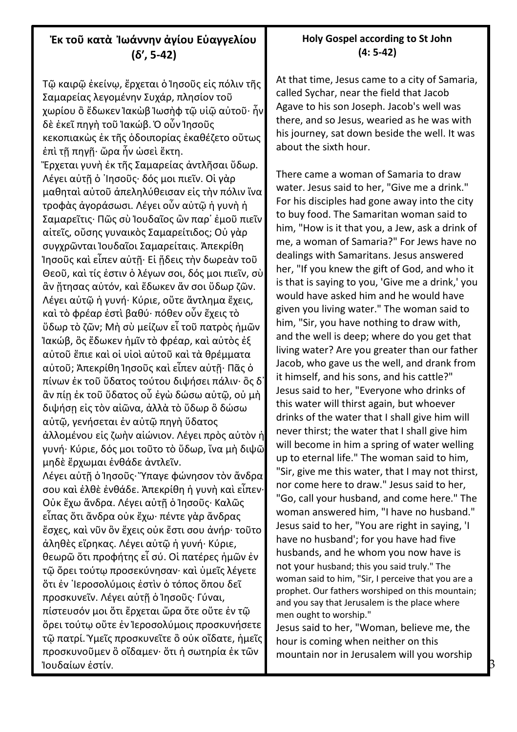## **Ἐκ τοῦ κατὰ Ἰωάννην ἁγίου Εὐαγγελίου (δʹ, 5-42)**

Τῷ καιρῷ ἐκείνῳ, ἔρχεται ὁ Ἰησοῦς εἰς πόλιν τῆς Σαμαρείας λεγομένην Συχάρ, πλησίον τοῦ χωρίου ὃ ἔδωκεν Ἰακὼβ Ἰωσὴφ τῷ υἱῷ αὐτοῦ· ἦν δὲ ἐκεῖ πηγὴ τοῦ Ἰακώβ. Ὁ οὖν Ἰησοῦς κεκοπιακὼς ἐκ τῆς ὁδοιπορίας ἐκαθέζετο οὕτως ἐπὶ τῇ πηγῇ· ὥρα ἦν ὡσεὶ ἕκτη. Ἔρχεται γυνὴ ἐκ τῆς Σαμαρείας ἀντλῆσαι ὕδωρ. Λέγει αὐτῇ ὁ ᾿Ιησοῦς· δός μοι πιεῖν. Οἱ γὰρ μαθηταὶ αὐτοῦ ἀπεληλύθεισαν εἰς τὴν πόλιν ἵνα τροφὰς ἀγοράσωσι. Λέγει οὖν αὐτῷ ἡ γυνὴ ἡ Σαμαρεῖτις· Πῶς σὺ Ἰουδαῖος ὢν παρ᾽ ἐμοῦ πιεῖν αἰτεῖς, οὔσης γυναικὸς Σαμαρείτιδος; Οὐ γὰρ συγχρῶνται Ἰουδαῖοι Σαμαρείταις. Ἀπεκρίθη Ἰησοῦς καὶ εἶπεν αὐτῇ· Εἰ ᾔδεις τὴν δωρεὰν τοῦ Θεοῦ, καὶ τίς ἐστιν ὁ λέγων σοι, δός μοι πιεῖν, σὺ ἂν ᾔτησας αὐτόν, καὶ ἔδωκεν ἄν σοι ὕδωρ ζῶν. Λέγει αὐτῷ ἡ γυνή· Κύριε, οὔτε ἄντλημα ἔχεις, καὶ τὸ φρέαρ ἐστὶ βαθύ· πόθεν οὖν ἔχεις τὸ ὕδωρ τὸ ζῶν; Μὴ σὺ μείζων εἶ τοῦ πατρὸς ἡμῶν Ἰακώβ, ὃς ἔδωκεν ἡμῖν τὸ φρέαρ, καὶ αὐτὸς ἐξ αὐτοῦ ἔπιε καὶ οἱ υἱοὶ αὐτοῦ καὶ τὰ θρέμματα αὐτοῦ; Ἀπεκρίθη Ἰησοῦς καὶ εἶπεν αὐτῇ· Πᾶς ὁ πίνων ἐκ τοῦ ὕδατος τούτου διψήσει πάλιν· ὃς δ᾽ ἂν πίῃ ἐκ τοῦ ὕδατος οὗ ἐγὼ δώσω αὐτῷ, οὐ μὴ διψήσῃ εἰς τὸν αἰῶνα, ἀλλὰ τὸ ὕδωρ ὃ δώσω αὐτῷ, γενήσεται ἐν αὐτῷ πηγὴ ὕδατος ἁλλομένου εἰς ζωὴν αἰώνιον. Λέγει πρὸς αὐτὸν ἡ γυνή· Κύριε, δός μοι τοῦτο τὸ ὕδωρ, ἵνα μὴ διψῶ μηδὲ ἔρχωμαι ἐνθάδε ἀντλεῖν. Λέγει αὐτῇ ὁ Ἰησοῦς· Ὕπαγε φώνησον τὸν ἄνδρα

σου καὶ ἐλθὲ ἐνθάδε. Ἀπεκρίθη ἡ γυνὴ καὶ εἶπεν· Οὐκ ἔχω ἄνδρα. Λέγει αὐτῇ ὁ Ἰησοῦς· Καλῶς εἶπας ὅτι ἄνδρα οὐκ ἔχω· πέντε γὰρ ἄνδρας ἔσχες, καὶ νῦν ὃν ἔχεις οὐκ ἔστι σου ἀνήρ· τοῦτο ἀληθὲς εἴρηκας. Λέγει αὐτῷ ἡ γυνή· Κύριε, θεωρῶ ὅτι προφήτης εἶ σύ. Οἱ πατέρες ἡμῶν ἐν τῷ ὄρει τούτῳ προσεκύνησαν· καὶ ὑμεῖς λέγετε ὅτι ἐν ῾Ιεροσολύμοις ἐστὶν ὁ τόπος ὅπου δεῖ προσκυνεῖν. Λέγει αὐτῇ ὁ Ἰησοῦς· Γύναι, πίστευσόν μοι ὅτι ἔρχεται ὥρα ὅτε οὔτε ἐν τῷ ὄρει τούτῳ οὔτε ἐν Ἰεροσολύμοις προσκυνήσετε τῷ πατρί. Ὑμεῖς προσκυνεῖτε ὃ οὐκ οἴδατε, ἡμεῖς προσκυνοῦμεν ὃ οἴδαμεν· ὅτι ἡ σωτηρία ἐκ τῶν Ἰουδαίων ἐστίν.

#### At that time, Jesus came to a city of Samaria, called Sychar, near the field that Jacob Agave to his son Joseph. Jacob's well was there, and so Jesus, wearied as he was with his journey, sat down beside the well. It was about the sixth hour.

There came a woman of Samaria to draw water. Jesus said to her, "Give me a drink." For his disciples had gone away into the city to buy food. The Samaritan woman said to him, "How is it that you, a Jew, ask a drink of me, a woman of Samaria?" For Jews have no dealings with Samaritans. Jesus answered her, "If you knew the gift of God, and who it is that is saying to you, 'Give me a drink,' you would have asked him and he would have given you living water." The woman said to him, "Sir, you have nothing to draw with, and the well is deep; where do you get that living water? Are you greater than our father Jacob, who gave us the well, and drank from it himself, and his sons, and his cattle?" Jesus said to her, "Everyone who drinks of this water will thirst again, but whoever drinks of the water that I shall give him will never thirst; the water that I shall give him will become in him a spring of water welling up to eternal life." The woman said to him, "Sir, give me this water, that I may not thirst, nor come here to draw." Jesus said to her, "Go, call your husband, and come here." The woman answered him, "I have no husband." Jesus said to her, "You are right in saying, 'I have no husband'; for you have had five husbands, and he whom you now have is not your husband; this you said truly." The woman said to him, "Sir, I perceive that you are a prophet. Our fathers worshiped on this mountain; and you say that Jerusalem is the place where men ought to worship."

Jesus said to her, "Woman, believe me, the hour is coming when neither on this mountain nor in Jerusalem will you worship

#### **Holy Gospel according to St John (4: 5-42)**